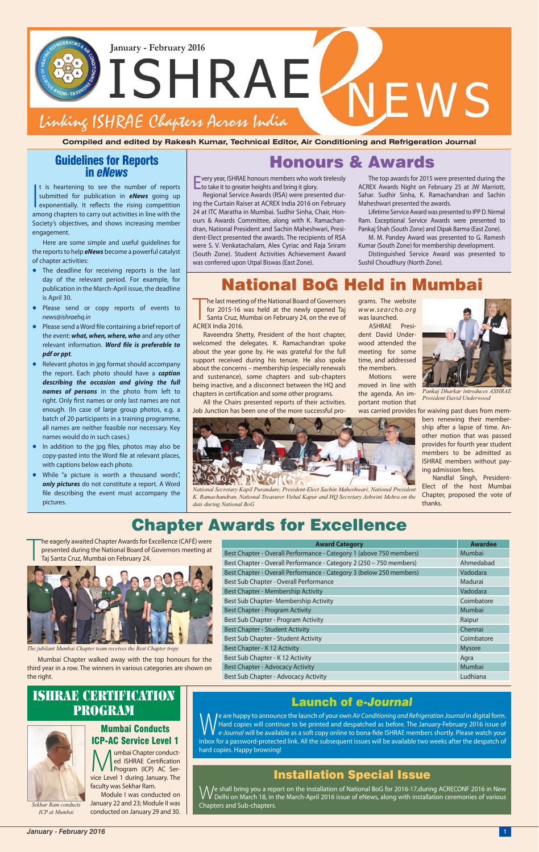January - February 2016<br> **JSHRAE**<br>
NEWS Linking ISHRAE Chapters Across India

### Honours & Awards

**Every year, ISHRAE honours members who work tirelessly**<br>to take it to greater heights and bring it glory.

## National BoG Held in Mumbai

### Chapter Awards for Excellence

Raveendra Shetty, President of the host chapter, welcomed the delegates. K. Ramachandran spoke about the year gone by. He was grateful for the full support received during his tenure. He also spoke about the concerns – membership (especially renewals and sustenance), some chapters and sub-chapters being inactive, and a disconnect between the HQ and chapters in certification and some other programs.

Regional Service Awards (RSA) were presented during the Curtain Raiser at ACREX India 2016 on February 24 at ITC Maratha in Mumbai. Sudhir Sinha, Chair, Honours & Awards Committee, along with K. Ramachandran, National President and Sachin Maheshwari, President-Elect presented the awards. The recipients of RSA were S. V. Venkatachalam, Alex Cyriac and Raja Sriram (South Zone). Student Activities Achievement Award was conferred upon Utpal Biswas (East Zone).

T he last meeting of the National Board of Governors for 2015-16 was held at the newly opened Taj Santa Cruz, Mumbai on February 24, on the eve of ACREX India 2016.

e are happy to announce the launch of your own Air Conditioning and Refrigeration Journal in digital form.<br>Hard copies will continue to be printed and despatched as before. The January-February 2016 issue of<br>e-Journal will Hard copies will continue to be printed and despatched as before. The January-February 2016 issue of e-Journal will be available as a soft copy online to bona-fide ISHRAE members shortly. Please watch your inbox for a password-protected link. All the subsequent issues will be available two weeks after the despatch of hard copies. Happy browsing!

Interaction<br>
It is heartening to see the number of reports<br>
submitted for publication in **eNews** going up<br>
exponentially. It reflects the rising competition t is heartening to see the number of reports submitted for publication in *eNews* going up among chapters to carry out activities in line with the Society's objectives, and shows increasing member engagement.

> All the Chairs presented reports of their activities. Job Junction has been one of the more successful pro-

We shall bring you a report on the installation of National BoG for 2016-17,during ACRECONF 2016 in New Delhi on March 18, in the March-April 2016 issue of eNews, along with installation ceremonies of various Chapters and Sub-chapters.

**Compiled and edited by Rakesh Kumar, Technical Editor, Air Conditioning and Refrigeration Journal**

# Guidelines for Reports in *eNews*

Here are some simple and useful guidelines for the reports to help *eNews* become a powerful catalyst of chapter activities:

- **•** The deadline for receiving reports is the last day of the relevant period. For example, for publication in the March-April issue, the deadline is April 30.
- **•** Please send or copy reports of events to news@ishraehq.in
- Please send a Word file containing a brief report of the event: *what, when, where, who* and any other relevant information. Word file is preferable to *pdf or ppt*.
- **•** Relevant photos in jpg format should accompany the report. Each photo should have a *caption describing the occasion and giving the full names of persons* in the photo from left to right. Only first names or only last names are not enough. (In case of large group photos, e.g. a batch of 20 participants in a training programme, all names are neither feasible nor necessary. Key names would do in such cases.)
- In addition to the jpg files, photos may also be copy-pasted into the Word file at relevant places, with captions below each photo.
- **•** While "a picture is worth a thousand words", *only pictures* do not constitute a report. A Word file describing the event must accompany the pictures.

umbai Chapter conducted ISHRAE Certification Program (ICP) AC Service Level 1 during January. The faculty was Sekhar Ram.

### Installation Special Issue

### Launch of *e-Journal*

The top awards for 2015 were presented during the ACREX Awards Night on February 25 at JW Marriott, Sahar. Sudhir Sinha, K. Ramachandran and Sachin Maheshwari presented the awards.

Lifetime Service Award was presented to IPP D. Nirmal Ram. Exceptional Service Awards were presented to Pankaj Shah (South Zone) and Dipak Barma (East Zone).

M. M. Pandey Award was presented to G. Ramesh Kumar (South Zone) for membership development.

Distinguished Service Award was presented to Sushil Choudhury (North Zone).

grams. The website www.searcho.org was launched.

ASHRAE President David Underwood attended the meeting for some time, and addressed the members.

Motions were moved in line with the agenda. An important motion that

was carried provides for waiving past dues from members renewing their membership after a lapse of time. Another motion that was passed provides for fourth year student members to be admitted as ISHRAE members without paying admission fees.

> Nandlal Singh, President-Elect of the host Mumbai Chapter, proposed the vote of thanks.



*National Secretary Kapil Purandare, President-Elect Sachin Maheshwari, National President K. Ramachandran, National Treasurer Vishal Kapur and HQ Secretary Ashwini Mehra on the dais during National BoG*



*Pankaj Dharkar introduces ASHRAE President David Underwood*

| <b>Award Category</b>                                               | Awardee       |
|---------------------------------------------------------------------|---------------|
| Best Chapter - Overall Performance - Category 1 (above 750 members) | Mumbai        |
| Best Chapter - Overall Performance - Category 2 (250 - 750 members) | Ahmedabad     |
| Best Chapter - Overall Performance - Category 3 (below 250 members) | Vadodara      |
| Best Sub Chapter - Overall Performance                              | Madurai       |
| <b>Best Chapter - Membership Activity</b>                           | Vadodara      |
| Best Sub Chapter- Membership Activity                               | Coimbatore    |
| <b>Best Chapter - Program Activity</b>                              | Mumbai        |
| Best Sub Chapter - Program Activity                                 | Raipur        |
| <b>Best Chapter - Student Activity</b>                              | Chennai       |
| Best Sub Chapter - Student Activity                                 | Coimbatore    |
| Best Chapter - K 12 Activity                                        | <b>Mysore</b> |
| Best Sub Chapter - K 12 Activity                                    | Agra          |



*ICP at Mumbai*



Mumbai Chapter walked away with the top honours for the

T he eagerly awaited Chapter Awards for Excellence (CAFÉ) were presented during the National Board of Governors meeting at Taj Santa Cruz, Mumbai on February 24.

third year in a row. The winners in various categories are shown on the right.

#### Best Chapter - Advocacy Activity Mumbai and Activity Mumbai and Activity Mumbai and Activity Mumbai Best Sub Chapter - Advocacy Activity Ludhiana Chapter - Advocacy Activity Ludhiana

Module I was conducted on January 22 and 23; Module II was conducted on January 29 and 30.

#### Mumbai Conducts ICP-AC Service Level 1

### ISHRAE CERTIFICATION PROGRAM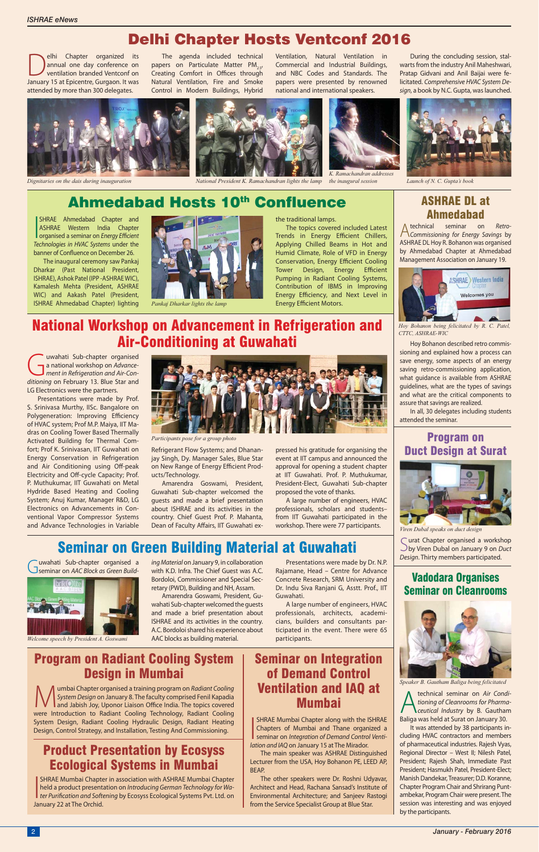### Delhi Chapter Hosts Ventconf 2016

National Workshop on Advancement in Refrigeration and

Air-Conditioning at Guwahati

### Seminar on Green Building Material at Guwahati

Guwahati Sub-chapter organised a<br>Geminar on AAC Block as Green Build-

**Delhi** Chapter organized its<br>annual one day conference on<br>ventilation branded Ventconf on annual one day conference on ventilation branded Ventconf on January 15 at Epicentre, Gurgaon. It was attended by more than 300 delegates.

The inaugural ceremony saw Pankaj Dharkar (Past National President, ISHRAE), Ashok Patel (IPP -ASHRAE WIC), Kamalesh Mehta (President, ASHRAE WIC) and Aakash Patel (President, ISHRAE Ahmedabad Chapter) lighting

uwahati Sub-chapter organised



umbai Chapter organised a training program on Radiant Cooling System Design on January 8. The faculty comprised Fenil Kapadia and Jabish Joy, Uponor Liaison Office India. The topics covered were Introduction to Radiant Cooling Technology, Radiant Cooling System Design, Radiant Cooling Hydraulic Design, Radiant Heating Design, Control Strategy, and Installation, Testing And Commissioning.

SHRAE Mumbai Chapter in association with ASHRAE Mumbai Chapter<br>held a product presentation on *Introducing German Technology for Wa-*<br>ter Purification and Softening by Ecosyss Ecological Systems Pvt. Ltd. on SHRAE Mumbai Chapter in association with ASHRAE Mumbai Chapter held a product presentation on Introducing German Technology for Wa-January 22 at The Orchid.

#### **Program on Radiant Cooling System** Seminar on Integration

Activated Building for Thermal Comfort; Prof K. Srinivasan, IIT Guwahati on Energy Conservation in Refrigeration and Air Conditioning using Off-peak Electricity and Off-cycle Capacity; Prof. P. Muthukumar, IIT Guwahati on Metal Hydride Based Heating and Cooling System; Anuj Kumar, Manager R&D, LG Electronics on Advancements in Conventional Vapor Compressor Systems and Advance Technologies in Variable

A technical seminar on Retro-<br>A Commissioning for Energy Savings by ASHRAE DL Hoy R. Bohanon was organised by Ahmedabad Chapter at Ahmedabad Management Association on January 19.

## Design in Mumbai

Surat Chapter organised a workshop<br>Suby Viren Dubal on January 9 on Duct Design. Thirty members participated.

### Product Presentation by Ecosyss Ecological Systems in Mumbai

technical seminar on Air Conditioning of Cleanrooms for Pharmaceutical Industry by B. Gautham Baliga was held at Surat on January 30. It was attended by 38 participants including HVAC contractors and members of pharmaceutical industries. Rajesh Vyas, Regional Director – West II; Nilesh Patel, President; Rajesh Shah, Immediate Past President; Hasmukh Patel, President-Elect; Manish Dandekar, Treasurer; D.D. Koranne, Chapter Program Chair and Shrirang Puntambekar, Program Chair were present. The session was interesting and was enjoyed by the participants.

### of Demand Control Ventilation and IAQ at Mumbai

I SHRAE Mumbai Chapter along with the ISHRAE Chapters of Mumbai and Thane organized a seminar on Integration of Demand Control Ventilation and IAQ on January 15 at The Mirador.

The topics covered included Latest Trends in Energy Efficient Chillers, Applying Chilled Beams in Hot and Humid Climate, Role of VFD in Energy Conservation, Energy Efficient Cooling Tower Design, Energy Efficient Pumping in Radiant Cooling Systems, Contribution of IBMS in Improving Energy Efficiency, and Next Level in Energy Efficient Motors.

The main speaker was ASHRAE Distinguished Lecturer from the USA, Hoy Bohanon PE, LEED AP, BEAP.

The other speakers were Dr. Roshni Udyavar, Architect and Head, Rachana Sansad's Institute of Environmental Architecture; and Sanjeev Rastogi from the Service Specialist Group at Blue Star.

Guwahati Sub-chapter welcomed the guests and made a brief presentation about ISHRAE and its activities in the country. Chief Guest Prof. P. Mahanta, Dean of Faculty Affairs, IIT Guwahati ex-

### ASHRAE DL at Ahmedabad



*Participants pose for a group photo*

Hoy Bohanon described retro commissioning and explained how a process can save energy, some aspects of an energy saving retro-commissioning application, what guidance is available from ASHRAE guidelines, what are the types of savings and what are the critical components to assure that savings are realized.

In all, 30 delegates including students attended the seminar.

### Program on Duct Design at Surat

### Vadodara Organises Seminar on Cleanrooms



The agenda included technical papers on Particulate Matter PM<sub>2.5</sub>, Creating Comfort in Offices through Natural Ventilation, Fire and Smoke Control in Modern Buildings, Hybrid

Ventilation, Natural Ventilation in Commercial and Industrial Buildings, and NBC Codes and Standards. The papers were presented by renowned national and international speakers.

warts from the industry Anil Maheshwari, Pratap Gidvani and Anil Baijai were fe-

During the concluding session, stallicitated. Comprehensive HVAC System Design, a book by N.C. Gupta, was launched.





*Pankaj Dharkar lights the lamp*





*Viren Dubal speaks on duct design*

*Speaker B. Gautham Baliga being felicitated*



*K. Ramachandran addresses* 



*the inaugural session Launch of N. C. Gupta's book*

### Ahmedabad Hosts 10th Confluence

**SHRAE Ahmedabad Chapter and<br>ASHRAE Western India Chapter<br>organised a seminar on Energy Efficient SHRAE Ahmedabad Chapter and** ASHRAE Western India Chapter Technologies in HVAC Systems under the banner of Confluence on December 26.

#### the traditional lamps.

Refrigerant Flow Systems; and Dhananjay Singh, Dy. Manager Sales, Blue Star on New Range of Energy Efficient Products/Technology.

Amarendra Goswami, President,

event at IIT campus and announced the approval for opening a student chapter

pressed his gratitude for organising the at IIT Guwahati. Prof. P. Muthukumar, President-Elect, Guwahati Sub-chapter proposed the vote of thanks.

A large number of engineers, HVAC from IIT Guwahati participated in the

professionals, scholars and students– workshop. There were 77 participants.

#### ing Material on January 9, in collaboration with K.D. Infra. The Chief Guest was A.C. Bordoloi, Commissioner and Special Secretary (PWD), Building and NH, Assam.

Amarendra Goswami, President, Guwahati Sub-chapter welcomed the guests and made a brief presentation about ISHRAE and its activities in the country. A.C. Bordoloi shared his experience about AAC blocks as building material.

Presentations were made by Dr. N.P. Rajamane, Head – Centre for Advance Concrete Research, SRM University and Dr. Indu Siva Ranjani G, Asstt. Prof., IIT Guwahati.

A large number of engineers, HVAC professionals, architects, academicians, builders and consultants participated in the event. There were 65 participants.



*Hoy Bohanon being felicitated by R. C. Patel, CTTC, ASHRAE-WIC*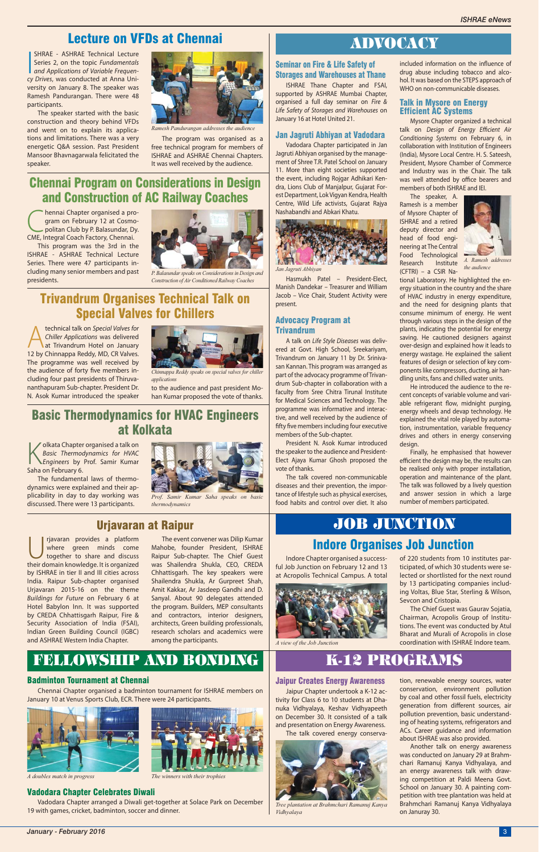## ADVOCACY

### K-12 PROGRAMS

### Lecture on VFDs at Chennai

### Urjavaran at Raipur

Urjavaran provides a platform<br>
where green minds come<br>
together to share and discuss where green minds come together to share and discuss their domain knowledge. It is organized by ISHRAE in tier II and III cities across India. Raipur Sub-chapter organised Urjavaran 2015-16 on the theme Buildings for Future on February 6 at Hotel Babylon Inn. It was supported by CREDA Chhattisgarh Raipur, Fire & Security Association of India (FSAI), Indian Green Building Council (IGBC) and ASHRAE Western India Chapter.



*Ramesh Pandurangan addresses the audience*



*P. Balasundar speaks on Considerations in Design and Construction of Air Conditioned Railway Coaches*

*Chinnappa Reddy speaks on special valves for chiller applications* 



*Prof. Samir Kumar Saha speaks on basic thermodynamics*

I SHRAE - ASHRAE Technical Lecture Series 2, on the topic Fundamentals and Applications of Variable Frequency Drives, was conducted at Anna University on January 8. The speaker was Ramesh Pandurangan. There were 48 participants.

#### Advocacy Program at **Trivandrum**

The speaker started with the basic construction and theory behind VFDs and went on to explain its applications and limitations. There was a very energetic Q&A session. Past President Mansoor Bhavnagarwala felicitated the speaker.

#### Seminar on Fire & Life Safety of Storages and Warehouses at Thane

ISHRAE Thane Chapter and FSAI, supported by ASHRAE Mumbai Chapter, organised a full day seminar on Fire & Life Safety of Storages and Warehouses on January 16 at Hotel United 21.

#### Jan Jagruti Abhiyan at Vadodara

\* hennai Chapter organised a program on February 12 at Cosmopolitan Club by P. Balasundar, Dy. CME, Integral Coach Factory, Chennai.

Vadodara Chapter participated in Jan Jagruti Abhiyan organised by the management of Shree T.R. Patel School on January 11. More than eight societies supported the event, including Rojgar Adhikari Kendra, Lions Club of Manjalpur, Gujarat Forest Department, Lok Vigyan Kendra, Health Centre, Wild Life activists, Gujarat Rajya Nashabandhi and Abkari Khatu.

Hasmukh Patel – President-Elect, Manish Dandekar – Treasurer and William Jacob – Vice Chair, Student Activity were present.

**Atechnical talk on Special Valves for**<br>Chiller Applications was delivered<br>at Trivandrum Hotel on January Chiller Applications was delivered at Trivandrum Hotel on January 12 by Chinnappa Reddy, MD, CR Valves. The programme was well received by the audience of forty five members including four past presidents of Thiruvananthapuram Sub-chapter. President Dr. N. Asok Kumar introduced the speaker



A talk on Life Style Diseases was delivered at Govt. High School, Sreekariyam, Trivandrum on January 11 by Dr. Srinivasan Kannan. This program was arranged as part of the advocacy programme of Trivandrum Sub-chapter in collaboration with a faculty from Sree Chitra Tirunal Institute for Medical Sciences and Technology. The programme was informative and interactive, and well received by the audience of fifty five members including four executive members of the Sub-chapter.

included information on the influence of drug abuse including tobacco and alcohol. It was based on the STEPS approach of WHO on non-communicable diseases.

President N. Asok Kumar introduced the speaker to the audience and President-Elect Ajaya Kumar Ghosh proposed the vote of thanks.

The talk covered non-communicable diseases and their prevention, the importance of lifestyle such as physical exercises, food habits and control over diet. It also

#### Jaipur Creates Energy Awareness

Jaipur Chapter undertook a K-12 activity for Class 6 to 10 students at Dhanuka Vidhyalaya, Keshav Vidhyapeeth on December 30. It consisted of a talk and presentation on Energy Awareness. The talk covered energy conserva-

He introduced the audience to the recent concepts of variable volume and variable refrigerant flow, midnight purging, energy wheels and devap technology. He explained the vital role played by automation, instrumentation, variable frequency drives and others in energy conserving design.

### Chennai Program on Considerations in Design and Construction of AC Railway Coaches

This program was the 3rd in the ISHRAE - ASHRAE Technical Lecture Series. There were 47 participants including many senior members and past presidents.

### Trivandrum Organises Technical Talk on Special Valves for Chillers

### Basic Thermodynamics for HVAC Engineers at Kolkata

#### Badminton Tournament at Chennai

Chennai Chapter organised a badminton tournament for ISHRAE members on January 10 at Venus Sports Club, ECR. There were 24 participants.

#### Vadodara Chapter Celebrates Diwali

Vadodara Chapter arranged a Diwali get-together at Solace Park on December 19 with games, cricket, badminton, soccer and dinner.



*A doubles match in progress The winners with their trophies*





*Tree plantation at Brahmchari Ramanuj Kanya Vidhyalaya*

K olkata Chapter organised a talk on Basic Thermodynamics for HVAC Engineers by Prof. Samir Kumar Saha on February 6.

The fundamental laws of thermodynamics were explained and their applicability in day to day working was discussed. There were 13 participants.

The program was organised as a free technical program for members of ISHRAE and ASHRAE Chennai Chapters. It was well received by the audience.

to the audience and past president Mohan Kumar proposed the vote of thanks.

### FELLOWSHIP AND BONDING

#### Talk in Mysore on Energy Efficient AC Systems

Mysore Chapter organized a technical talk on Design of Energy Efficient Air Conditioning Systems on February 6, in collaboration with Institution of Engineers (India), Mysore Local Centre. H. S. Sateesh, President, Mysore Chamber of Commerce and Industry was in the Chair. The talk was well attended by office bearers and members of both ISHRAE and IEI.

The speaker, A. Ramesh is a member of Mysore Chapter of ISHRAE and a retired deputy director and head of food engineering at The Central Food Technological Research Institute (CFTRI) – a CSIR Na-

tional Laboratory. He highlighted the energy situation in the country and the share of HVAC industry in energy expenditure, and the need for designing plants that consume minimum of energy. He went through various steps in the design of the plants, indicating the potential for energy saving. He cautioned designers against over-design and explained how it leads to energy wastage. He explained the salient features of design or selection of key components like compressors, ducting, air handling units, fans and chilled water units.

Finally, he emphasised that however efficient the design may be, the results can be realised only with proper installation, operation and maintenance of the plant. The talk was followed by a lively question and answer session in which a large number of members participated.



*Jan Jagruti Abhiyan*



*the audience*

tion, renewable energy sources, water conservation, environment pollution by coal and other fossil fuels, electricity generation from different sources, air pollution prevention, basic understanding of heating systems, refrigerators and ACs. Career guidance and information about ISHRAE was also provided.

Another talk on energy awareness was conducted on January 29 at Brahmchari Ramanuj Kanya Vidhyalaya, and an energy awareness talk with drawing competition at Paldi Meena Govt. School on January 30. A painting competition with tree plantation was held at Brahmchari Ramanuj Kanya Vidhyalaya on Januray 30.

Indore Chapter organised a successful Job Junction on February 12 and 13 at Acropolis Technical Campus. A total

# JOB JUNCTION

### Indore Organises Job Junction



of 220 students from 10 institutes participated, of which 30 students were selected or shortlisted for the next round by 13 participating companies including Voltas, Blue Star, Sterling & Wilson, Sevcon and Cristopia.

The Chief Guest was Gaurav Sojatia, Chairman, Acropolis Group of Institutions. The event was conducted by Atul Bharat and Murali of Acropolis in close coordination with ISHRAE Indore team.

The event convener was Dilip Kumar Mahobe, founder President, ISHRAE Raipur Sub-chapter. The Chief Guest was Shailendra Shukla, CEO, CREDA Chhattisgarh. The key speakers were Shailendra Shukla, Ar Gurpreet Shah, Amit Kakkar, Ar Jasdeep Gandhi and D. Sanyal. About 90 delegates attended the program. Builders, MEP consultants and contractors, interior designers, architects, Green building professionals, research scholars and academics were among the participants.